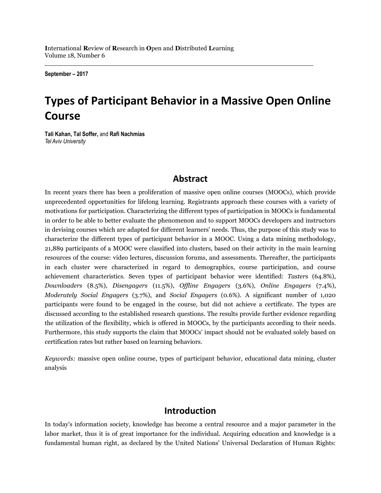**September – 2017**

# **Types of Participant Behavior in a Massive Open Online Course**

**Tali Kahan, Tal Soffer,** and **Rafi Nachmias** *Tel Aviv University*

# **Abstract**

In recent years there has been a proliferation of massive open online courses (MOOCs), which provide unprecedented opportunities for lifelong learning. Registrants approach these courses with a variety of motivations for participation. Characterizing the different types of participation in MOOCs is fundamental in order to be able to better evaluate the phenomenon and to support MOOCs developers and instructors in devising courses which are adapted for different learners' needs. Thus, the purpose of this study was to characterize the different types of participant behavior in a MOOC. Using a data mining methodology, 21,889 participants of a MOOC were classified into clusters, based on their activity in the main learning resources of the course: video lectures, discussion forums, and assessments. Thereafter, the participants in each cluster were characterized in regard to demographics, course participation, and course achievement characteristics. Seven types of participant behavior were identified: *Tasters* (64.8%), *Downloaders* (8.5%), *Disengagers* (11.5%), *Offline Engagers* (3.6%), *Online Engagers* (7.4%), *Moderately Social Engagers* (3.7%), and *Social Engagers* (0.6%). A significant number of 1,020 participants were found to be engaged in the course, but did not achieve a certificate. The types are discussed according to the established research questions. The results provide further evidence regarding the utilization of the flexibility, which is offered in MOOCs, by the participants according to their needs. Furthermore, this study supports the claim that MOOCs' impact should not be evaluated solely based on certification rates but rather based on learning behaviors.

*Keywords:* massive open online course, types of participant behavior, educational data mining, cluster analysis

## **Introduction**

In today's information society, knowledge has become a central resource and a major parameter in the labor market, thus it is of great importance for the individual. Acquiring education and knowledge is a fundamental human right, as declared by the United Nations' Universal Declaration of Human Rights: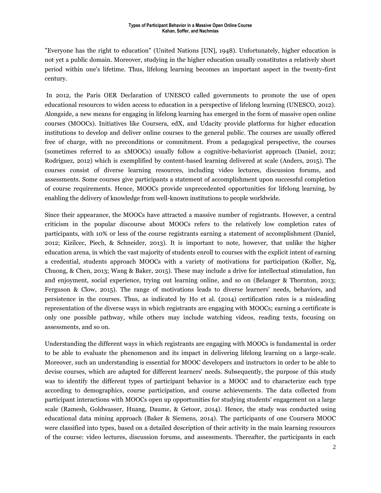"Everyone has the right to education" (United Nations [UN], 1948). Unfortunately, higher education is not yet a public domain. Moreover, studying in the higher education usually constitutes a relatively short period within one's lifetime. Thus, lifelong learning becomes an important aspect in the twenty-first century.

In 2012, the Paris OER Declaration of UNESCO called governments to promote the use of open educational resources to widen access to education in a perspective of lifelong learning (UNESCO, 2012). Alongside, a new means for engaging in lifelong learning has emerged in the form of massive open online courses (MOOCs). Initiatives like Coursera, edX, and Udacity provide platforms for higher education institutions to develop and deliver online courses to the general public. The courses are usually offered free of charge, with no preconditions or commitment. From a pedagogical perspective, the courses (sometimes referred to as xMOOCs) usually follow a cognitive-behaviorist approach (Daniel, 2012; Rodriguez, 2012) which is exemplified by content-based learning delivered at scale (Anders, 2015). The courses consist of diverse learning resources, including video lectures, discussion forums, and assessments. Some courses give participants a statement of accomplishment upon successful completion of course requirements. Hence, MOOCs provide unprecedented opportunities for lifelong learning, by enabling the delivery of knowledge from well-known institutions to people worldwide.

Since their appearance, the MOOCs have attracted a massive number of registrants. However, a central criticism in the popular discourse about MOOCs refers to the relatively low completion rates of participants, with 10% or less of the course registrants earning a statement of accomplishment (Daniel, 2012; Kizilcec, Piech, & Schneider, 2013). It is important to note, however, that unlike the higher education arena, in which the vast majority of students enroll to courses with the explicit intent of earning a credential, students approach MOOCs with a variety of motivations for participation (Koller, Ng, Chuong, & Chen, 2013; Wang & Baker, 2015). These may include a drive for intellectual stimulation, fun and enjoyment, social experience, trying out learning online, and so on (Belanger & Thornton, 2013; Ferguson & Clow, 2015). The range of motivations leads to diverse learners' needs, behaviors, and persistence in the courses. Thus, as indicated by Ho et al. (2014) certification rates is a misleading representation of the diverse ways in which registrants are engaging with MOOCs; earning a certificate is only one possible pathway, while others may include watching videos, reading texts, focusing on assessments, and so on.

Understanding the different ways in which registrants are engaging with MOOCs is fundamental in order to be able to evaluate the phenomenon and its impact in delivering lifelong learning on a large-scale. Moreover, such an understanding is essential for MOOC developers and instructors in order to be able to devise courses, which are adapted for different learners' needs. Subsequently, the purpose of this study was to identify the different types of participant behavior in a MOOC and to characterize each type according to demographics, course participation, and course achievements. The data collected from participant interactions with MOOCs open up opportunities for studying students' engagement on a large scale (Ramesh, Goldwasser, Huang, Daume, & Getoor, 2014). Hence, the study was conducted using educational data mining approach (Baker & Siemens, 2014). The participants of one Coursera MOOC were classified into types, based on a detailed description of their activity in the main learning resources of the course: video lectures, discussion forums, and assessments. Thereafter, the participants in each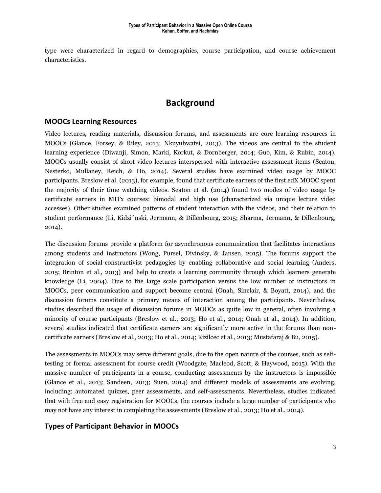type were characterized in regard to demographics, course participation, and course achievement characteristics.

# **Background**

#### **MOOCs Learning Resources**

Video lectures, reading materials, discussion forums, and assessments are core learning resources in MOOCs (Glance, Forsey, & Riley, 2013; Nkuyubwatsi, 2013). The videos are central to the student learning experience (Diwanji, Simon, Marki, Korkut, & Dornberger, 2014; Guo, Kim, & Rubin, 2014). MOOCs usually consist of short video lectures interspersed with interactive assessment items (Seaton, Nesterko, Mullaney, Reich, & Ho, 2014). Several studies have examined video usage by MOOC participants. Breslow et al. (2013), for example, found that certificate earners of the first edX MOOC spent the majority of their time watching videos. Seaton et al. (2014) found two modes of video usage by certificate earners in MITx courses: bimodal and high use (characterized via unique lecture video accesses). Other studies examined patterns of student interaction with the videos, and their relation to student performance (Li, Kidzi´nski, Jermann, & Dillenbourg, 2015; Sharma, Jermann, & Dillenbourg, 2014).

The discussion forums provide a platform for asynchronous communication that facilitates interactions among students and instructors (Wong, Pursel, Divinsky, & Jansen, 2015). The forums support the integration of social-constructivist pedagogies by enabling collaborative and social learning (Anders, 2015; Brinton et al., 2013) and help to create a learning community through which learners generate knowledge (Li, 2004). Due to the large scale participation versus the low number of instructors in MOOCs, peer communication and support become central (Onah, Sinclair, & Boyatt, 2014), and the discussion forums constitute a primary means of interaction among the participants. Nevertheless, studies described the usage of discussion forums in MOOCs as quite low in general, often involving a minority of course participants (Breslow et al., 2013; Ho et al., 2014; Onah et al., 2014). In addition, several studies indicated that certificate earners are significantly more active in the forums than noncertificate earners (Breslow et al., 2013; Ho et al., 2014; Kizilcec et al., 2013; Mustafaraj & Bu, 2015).

The assessments in MOOCs may serve different goals, due to the open nature of the courses, such as selftesting or formal assessment for course credit (Woodgate, Macleod, Scott, & Haywood, 2015). With the massive number of participants in a course, conducting assessments by the instructors is impossible (Glance et al., 2013; Sandeen, 2013; Suen, 2014) and different models of assessments are evolving, including: automated quizzes, peer assessments, and self-assessments. Nevertheless, studies indicated that with free and easy registration for MOOCs, the courses include a large number of participants who may not have any interest in completing the assessments (Breslow et al., 2013; Ho et al., 2014).

#### **Types of Participant Behavior in MOOCs**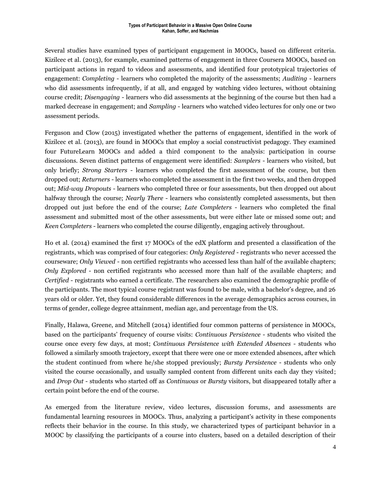Several studies have examined types of participant engagement in MOOCs, based on different criteria. Kizilcec et al. (2013), for example, examined patterns of engagement in three Coursera MOOCs, based on participant actions in regard to videos and assessments, and identified four prototypical trajectories of engagement: *Completing* - learners who completed the majority of the assessments; *Auditing* - learners who did assessments infrequently, if at all, and engaged by watching video lectures, without obtaining course credit; *Disengaging* - learners who did assessments at the beginning of the course but then had a marked decrease in engagement; and *Sampling* - learners who watched video lectures for only one or two assessment periods.

Ferguson and Clow (2015) investigated whether the patterns of engagement, identified in the work of Kizilcec et al. (2013), are found in MOOCs that employ a social constructivist pedagogy. They examined four FutureLearn MOOCs and added a third component to the analysis: participation in course discussions. Seven distinct patterns of engagement were identified: *Samplers* - learners who visited, but only briefly; *Strong Starters* - learners who completed the first assessment of the course, but then dropped out; *Returners* - learners who completed the assessment in the first two weeks, and then dropped out; *Mid-way Dropouts* - learners who completed three or four assessments, but then dropped out about halfway through the course; *Nearly There* - learners who consistently completed assessments, but then dropped out just before the end of the course; *Late Completers* - learners who completed the final assessment and submitted most of the other assessments, but were either late or missed some out; and *Keen Completers* - learners who completed the course diligently, engaging actively throughout.

Ho et al. (2014) examined the first 17 MOOCs of the edX platform and presented a classification of the registrants, which was comprised of four categories: *Only Registered* - registrants who never accessed the courseware; *Only Viewed* - non certified registrants who accessed less than half of the available chapters; *Only Explored* - non certified registrants who accessed more than half of the available chapters; and *Certified* - registrants who earned a certificate. The researchers also examined the demographic profile of the participants. The most typical course registrant was found to be male, with a bachelor's degree, and 26 years old or older. Yet, they found considerable differences in the average demographics across courses, in terms of gender, college degree attainment, median age, and percentage from the US.

Finally, Halawa, Greene, and Mitchell (2014) identified four common patterns of persistence in MOOCs, based on the participants' frequency of course visits: *Continuous Persistence* - students who visited the course once every few days, at most; *Continuous Persistence with Extended Absences* - students who followed a similarly smooth trajectory, except that there were one or more extended absences, after which the student continued from where he/she stopped previously; *Bursty Persistence* - students who only visited the course occasionally, and usually sampled content from different units each day they visited; and *Drop Out* - students who started off as *Continuous* or *Bursty* visitors, but disappeared totally after a certain point before the end of the course.

As emerged from the literature review, video lectures, discussion forums, and assessments are fundamental learning resources in MOOCs. Thus, analyzing a participant's activity in these components reflects their behavior in the course. In this study, we characterized types of participant behavior in a MOOC by classifying the participants of a course into clusters, based on a detailed description of their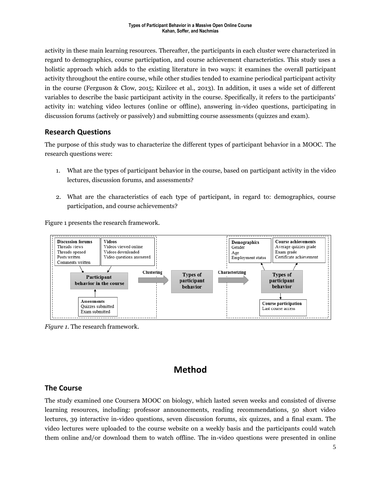activity in these main learning resources. Thereafter, the participants in each cluster were characterized in regard to demographics, course participation, and course achievement characteristics. This study uses a holistic approach which adds to the existing literature in two ways: it examines the overall participant activity throughout the entire course, while other studies tended to examine periodical participant activity in the course (Ferguson & Clow, 2015; Kizilcec et al., 2013). In addition, it uses a wide set of different variables to describe the basic participant activity in the course. Specifically, it refers to the participants' activity in: watching video lectures (online or offline), answering in-video questions, participating in discussion forums (actively or passively) and submitting course assessments (quizzes and exam).

#### **Research Questions**

The purpose of this study was to characterize the different types of participant behavior in a MOOC. The research questions were:

- 1. What are the types of participant behavior in the course, based on participant activity in the video lectures, discussion forums, and assessments?
- 2. What are the characteristics of each type of participant, in regard to: demographics, course participation, and course achievements?

Figure 1 presents the research framework.



*Figure 1.* The research framework.

# **Method**

#### **The Course**

The study examined one Coursera MOOC on biology, which lasted seven weeks and consisted of diverse learning resources, including: professor announcements, reading recommendations, 50 short video lectures, 39 interactive in-video questions, seven discussion forums, six quizzes, and a final exam. The video lectures were uploaded to the course website on a weekly basis and the participants could watch them online and/or download them to watch offline. The in-video questions were presented in online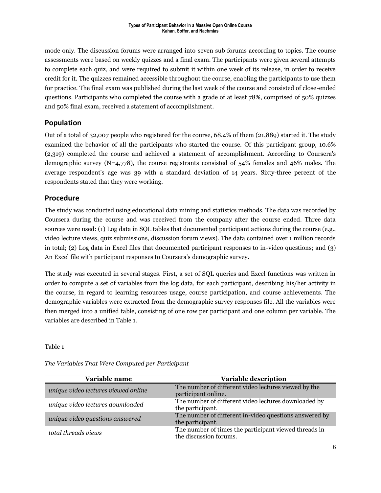mode only. The discussion forums were arranged into seven sub forums according to topics. The course assessments were based on weekly quizzes and a final exam. The participants were given several attempts to complete each quiz, and were required to submit it within one week of its release, in order to receive credit for it. The quizzes remained accessible throughout the course, enabling the participants to use them for practice. The final exam was published during the last week of the course and consisted of close-ended questions. Participants who completed the course with a grade of at least 78%, comprised of 50% quizzes and 50% final exam, received a statement of accomplishment.

### **Population**

Out of a total of 32,007 people who registered for the course, 68.4% of them (21,889) started it. The study examined the behavior of all the participants who started the course. Of this participant group, 10.6% (2,319) completed the course and achieved a statement of accomplishment. According to Coursera's demographic survey  $(N=4,778)$ , the course registrants consisted of  $54\%$  females and 46% males. The average respondent's age was 39 with a standard deviation of 14 years. Sixty-three percent of the respondents stated that they were working.

### **Procedure**

The study was conducted using educational data mining and statistics methods. The data was recorded by Coursera during the course and was received from the company after the course ended. Three data sources were used: (1) Log data in SQL tables that documented participant actions during the course (e.g., video lecture views, quiz submissions, discussion forum views). The data contained over 1 million records in total; (2) Log data in Excel files that documented participant responses to in-video questions; and (3) An Excel file with participant responses to Coursera's demographic survey.

The study was executed in several stages. First, a set of SQL queries and Excel functions was written in order to compute a set of variables from the log data, for each participant, describing his/her activity in the course, in regard to learning resources usage, course participation, and course achievements. The demographic variables were extracted from the demographic survey responses file. All the variables were then merged into a unified table, consisting of one row per participant and one column per variable. The variables are described in Table 1.

#### Table 1

| Variable name                       | Variable description                                                            |
|-------------------------------------|---------------------------------------------------------------------------------|
| unique video lectures viewed online | The number of different video lectures viewed by the<br>participant online.     |
| unique video lectures downloaded    | The number of different video lectures downloaded by<br>the participant.        |
| unique video questions answered     | The number of different in-video questions answered by<br>the participant.      |
| total threads views                 | The number of times the participant viewed threads in<br>the discussion forums. |

*The Variables That Were Computed per Participant*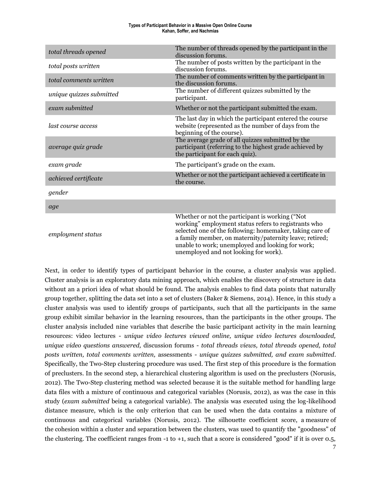| total threads opened      | The number of threads opened by the participant in the<br>discussion forums.                                                                                                                                                                                                                                                |
|---------------------------|-----------------------------------------------------------------------------------------------------------------------------------------------------------------------------------------------------------------------------------------------------------------------------------------------------------------------------|
| total posts written       | The number of posts written by the participant in the<br>discussion forums.                                                                                                                                                                                                                                                 |
| total comments written    | The number of comments written by the participant in<br>the discussion forums.                                                                                                                                                                                                                                              |
| unique quizzes submitted  | The number of different quizzes submitted by the<br>participant.                                                                                                                                                                                                                                                            |
| exam submitted            | Whether or not the participant submitted the exam.                                                                                                                                                                                                                                                                          |
| <i>last course access</i> | The last day in which the participant entered the course<br>website (represented as the number of days from the<br>beginning of the course).                                                                                                                                                                                |
| average quiz grade        | The average grade of all quizzes submitted by the<br>participant (referring to the highest grade achieved by<br>the participant for each quiz).                                                                                                                                                                             |
| exam grade                | The participant's grade on the exam.                                                                                                                                                                                                                                                                                        |
| achieved certificate      | Whether or not the participant achieved a certificate in<br>the course.                                                                                                                                                                                                                                                     |
| gender                    |                                                                                                                                                                                                                                                                                                                             |
| age                       |                                                                                                                                                                                                                                                                                                                             |
| employment status         | Whether or not the participant is working ("Not<br>working" employment status refers to registrants who<br>selected one of the following: homemaker, taking care of<br>a family member, on maternity/paternity leave; retired;<br>unable to work; unemployed and looking for work;<br>unemployed and not looking for work). |

Next, in order to identify types of participant behavior in the course, a cluster analysis was applied. Cluster analysis is an exploratory data mining approach, which enables the discovery of structure in data without an a priori idea of what should be found. The analysis enables to find data points that naturally group together, splitting the data set into a set of clusters (Baker & Siemens, 2014). Hence, in this study a cluster analysis was used to identify groups of participants, such that all the participants in the same group exhibit similar behavior in the learning resources, than the participants in the other groups. The cluster analysis included nine variables that describe the basic participant activity in the main learning resources: video lectures - *unique video lectures viewed online, unique video lectures downloaded, unique video questions answered,* discussion forums - *total threads views, total threads opened, total posts written, total comments written,* assessments - *unique quizzes submitted, and exam submitted*. Specifically, the Two-Step clustering procedure was used. The first step of this procedure is the formation of preclusters. In the second step, a hierarchical clustering algorithm is used on the preclusters (Norusis, 2012). The Two-Step clustering method was selected because it is the suitable method for handling large data files with a mixture of continuous and categorical variables (Norusis, 2012), as was the case in this study (*exam submitted* being a categorical variable). The analysis was executed using the log-likelihood distance measure, which is the only criterion that can be used when the data contains a mixture of continuous and categorical variables (Norusis, 2012). The silhouette coefficient score, a measure of the cohesion within a cluster and separation between the clusters, was used to quantify the "goodness" of the clustering. The coefficient ranges from -1 to +1, such that a score is considered "good" if it is over 0.5,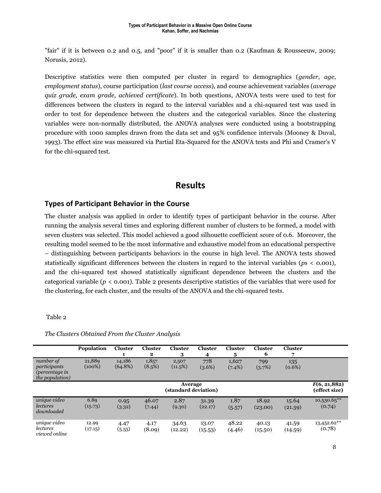"fair" if it is between 0.2 and 0.5, and "poor" if it is smaller than 0.2 (Kaufman & Rousseeuw, 2009; Norusis, 2012).

Descriptive statistics were then computed per cluster in regard to demographics (*gender, age, employment status*), course participation (*last course access*), and course achievement variables (*average quiz grade, exam grade, achieved certificate*). In both questions, ANOVA tests were used to test for differences between the clusters in regard to the interval variables and a chi-squared test was used in order to test for dependence between the clusters and the categorical variables. Since the clustering variables were non-normally distributed, the ANOVA analyses were conducted using a bootstrapping procedure with 1000 samples drawn from the data set and 95% confidence intervals (Mooney & Duval, 1993). The effect size was measured via Partial Eta-Squared for the ANOVA tests and Phi and Cramer's V for the chi-squared test.

### **Results**

#### **Types of Participant Behavior in the Course**

The cluster analysis was applied in order to identify types of participant behavior in the course. After running the analysis several times and exploring different number of clusters to be formed, a model with seven clusters was selected. This model achieved a good silhouette coefficient score of 0.6. Moreover, the resulting model seemed to be the most informative and exhaustive model from an educational perspective – distinguishing between participants behaviors in the course in high level. The ANOVA tests showed statistically significant differences between the clusters in regard to the interval variables (*p*s < 0.001), and the chi-squared test showed statistically significant dependence between the clusters and the categorical variable (*p* < 0.001). Table 2 presents descriptive statistics of the variables that were used for the clustering, for each cluster, and the results of the ANOVA and the chi-squared tests.

Table 2

*The Clusters Obtained From the Cluster Analysis*

|                                                                        | <b>Population</b>   | <b>Cluster</b>       | <b>Cluster</b><br>$\mathbf{2}$ | <b>Cluster</b><br>3 | <b>Cluster</b><br>4 | <b>Cluster</b><br>5 | <b>Cluster</b><br>6 | <b>Cluster</b><br>7 |                          |
|------------------------------------------------------------------------|---------------------|----------------------|--------------------------------|---------------------|---------------------|---------------------|---------------------|---------------------|--------------------------|
| number of<br>participants<br>(percentage in<br><i>the population</i> ) | 21,889<br>$(100\%)$ | 14,186<br>$(64.8\%)$ | 1,857<br>(8.5%)                | 2,507<br>(11.5%)    | 778<br>$(3.6\%)$    | 1,627<br>$(7.4\%)$  | 799<br>(3.7%)       | 135<br>$(0.6\%)$    |                          |
| Average<br>(standard deviation)                                        |                     |                      |                                |                     |                     |                     |                     |                     |                          |
| unique video<br><i>lectures</i><br>downloaded                          | 6.89<br>(15.73)     | 0.95<br>(3.32)       | 46.07<br>(7.44)                | 2.87<br>(9.30)      | 31.39<br>(22.17)    | 1.87<br>(5.57)      | 18.92<br>(23.00)    | 15.64<br>(21.59)    | $10,530.65***$<br>(0.74) |
| unique video<br>lectures<br><i>viewed online</i>                       | 12.99<br>(17.15)    | 4.47<br>(5.55)       | 4.17<br>(8.09)                 | 34.63<br>(12.22)    | 13.07<br>(15.53)    | 48.22<br>(4.46)     | 40.13<br>(15.50)    | 41.59<br>(14.59)    | $13,452.62**$<br>(0.78)  |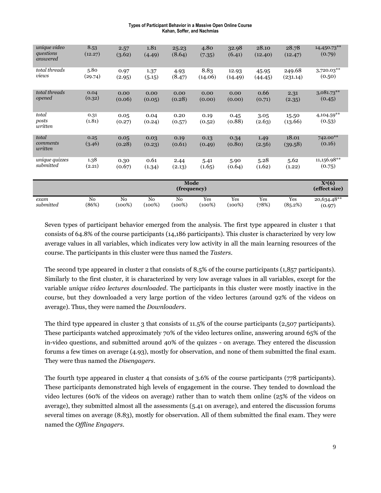#### **Types of Participant Behavior in a Massive Open Online Course Kahan, Soffer, and Nachmias**

| unique video<br>questions<br>answered | 8.53<br>(12.27) | 2.57<br>(3.62) | 1.81<br>(4.49) | 25.23<br>(8.64) | 4.80<br>(7.35) | 32.98<br>(6.41) | 28.10<br>(12.40) | 28.78<br>(12.47) | 14,450.73**<br>(0.79)  |
|---------------------------------------|-----------------|----------------|----------------|-----------------|----------------|-----------------|------------------|------------------|------------------------|
| total threads                         | 5.80            | 0.97           | 1.37           | 4.93            | 8.83           | 12.93           | 45.95            | 249.68           | $3,720.03**$           |
| views                                 | (29.74)         | (2.95)         | (5.15)         | (8.47)          | (14.06)        | (14.49)         | (44.45)          | (231.14)         | (0.50)                 |
| total threads                         | 0.04            | 0.00           | 0.00           | 0.00            | 0.00           | 0.00            | 0.66             | 2.31             | $3,081.73***$          |
| opened                                | (0.32)          | (0.06)         | (0.05)         | (0.28)          | (0.00)         | (0.00)          | (0.71)           | (2.35)           | (0.45)                 |
| total<br>posts<br>written             | 0.31<br>(1.81)  | 0.05<br>(0.27) | 0.04<br>(0.24) | 0.20<br>(0.57)  | 0.19<br>(0.52) | 0.45<br>(0.88)  | 3.05<br>(2.63)   | 15.50<br>(13.66) | $4,104.59**$<br>(0.53) |
| total<br>comments<br>written          | 0.25<br>(3.46)  | 0.05<br>(0.28) | 0.03<br>(0.23) | 0.19<br>(0.61)  | 0.13<br>(0.49) | 0.34<br>(0.80)  | 1.49<br>(2.56)   | 18.01<br>(39.58) | 742.00**<br>(0.16)     |
| <i>unique quizzes</i>                 | 1.38            | 0.30           | 0.61           | 2.44            | 5.41           | 5.90            | 5.28             | 5.62             | 11,156.98**            |
| submitted                             | (2.21)          | (0.67)         | (1.34)         | (2.13)          | (1.65)         | (0.64)          | (1.62)           | (1.22)           | (0.75)                 |
| Mode                                  |                 |                |                |                 |                |                 |                  |                  | $X^2(6)$               |
| (frequency)                           |                 |                |                |                 |                |                 |                  |                  | (effect size)          |
| exam                                  | No              | No             | N <sub>0</sub> | No              | Yes            | Yes             | Yes              | Yes              | 20,634.48**            |
| submitted                             | (86%)           | $(100\%)$      | (100%)         | (100%)          | (100%)         | (100%)          | (78%)            | (85.2%)          | (0.97)                 |

Seven types of participant behavior emerged from the analysis. The first type appeared in cluster 1 that consists of 64.8% of the course participants (14,186 participants). This cluster is characterized by very low average values in all variables, which indicates very low activity in all the main learning resources of the course. The participants in this cluster were thus named the *Tasters*.

The second type appeared in cluster 2 that consists of 8.5% of the course participants (1,857 participants). Similarly to the first cluster, it is characterized by very low average values in all variables, except for the variable *unique video lectures downloaded*. The participants in this cluster were mostly inactive in the course, but they downloaded a very large portion of the video lectures (around 92% of the videos on average). Thus, they were named the *Downloaders*.

The third type appeared in cluster 3 that consists of 11.5% of the course participants (2,507 participants). These participants watched approximately 70% of the video lectures online, answering around 65% of the in-video questions, and submitted around 40% of the quizzes - on average. They entered the discussion forums a few times on average (4.93), mostly for observation, and none of them submitted the final exam. They were thus named the *Disengagers*.

The fourth type appeared in cluster 4 that consists of 3.6% of the course participants (778 participants). These participants demonstrated high levels of engagement in the course. They tended to download the video lectures (60% of the videos on average) rather than to watch them online (25% of the videos on average), they submitted almost all the assessments (5.41 on average), and entered the discussion forums several times on average (8.83), mostly for observation. All of them submitted the final exam. They were named the *Offline Engagers*.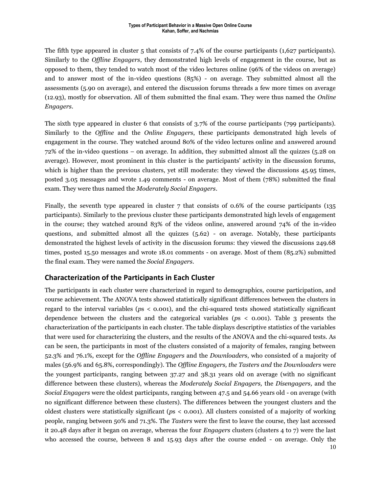The fifth type appeared in cluster 5 that consists of 7.4% of the course participants (1,627 participants). Similarly to the *Offline Engagers*, they demonstrated high levels of engagement in the course, but as opposed to them, they tended to watch most of the video lectures online (96% of the videos on average) and to answer most of the in-video questions  $(85%)$  - on average. They submitted almost all the assessments (5.90 on average), and entered the discussion forums threads a few more times on average (12.93), mostly for observation. All of them submitted the final exam. They were thus named the *Online Engagers*.

The sixth type appeared in cluster 6 that consists of 3.7% of the course participants (799 participants). Similarly to the *Offline* and the *Online Engagers*, these participants demonstrated high levels of engagement in the course. They watched around 80% of the video lectures online and answered around 72% of the in-video questions – on average. In addition, they submitted almost all the quizzes (5.28 on average). However, most prominent in this cluster is the participants' activity in the discussion forums, which is higher than the previous clusters, yet still moderate: they viewed the discussions 45.95 times, posted 3.05 messages and wrote 1.49 comments - on average. Most of them (78%) submitted the final exam. They were thus named the *Moderately Social Engagers*.

Finally, the seventh type appeared in cluster 7 that consists of 0.6% of the course participants (135) participants). Similarly to the previous cluster these participants demonstrated high levels of engagement in the course; they watched around 83% of the videos online, answered around 74% of the in-video questions, and submitted almost all the quizzes (5.62) - on average. Notably, these participants demonstrated the highest levels of activity in the discussion forums: they viewed the discussions 249.68 times, posted 15.50 messages and wrote 18.01 comments - on average. Most of them (85.2%) submitted the final exam. They were named the *Social Engagers*.

### **Characterization of the Participants in Each Cluster**

The participants in each cluster were characterized in regard to demographics, course participation, and course achievement. The ANOVA tests showed statistically significant differences between the clusters in regard to the interval variables (*p*s < 0.001), and the chi-squared tests showed statistically significant dependence between the clusters and the categorical variables (*p*s < 0.001). Table 3 presents the characterization of the participants in each cluster. The table displays descriptive statistics of the variables that were used for characterizing the clusters, and the results of the ANOVA and the chi-squared tests. As can be seen, the participants in most of the clusters consisted of a majority of females, ranging between 52.3% and 76.1%, except for the *Offline Engagers* and the *Downloaders*, who consisted of a majority of males (56.9% and 65.8%, correspondingly). The *Offline Engagers, the Tasters and* the *Downloaders* were the youngest participants, ranging between 37.27 and 38.31 years old on average (with no significant difference between these clusters), whereas the *Moderately Social Engagers,* the *Disengagers,* and the *Social Engagers* were the oldest participants*,* ranging between 47.5 and 54.66 years old - on average (with no significant difference between these clusters). The differences between the youngest clusters and the oldest clusters were statistically significant (*p*s < 0.001). All clusters consisted of a majority of working people, ranging between 50% and 71.3%. The *Tasters* were the first to leave the course, they last accessed it 20.48 days after it began on average, whereas the four *Engagers* clusters (clusters 4 to 7) were the last who accessed the course, between 8 and 15.93 days after the course ended - on average. Only the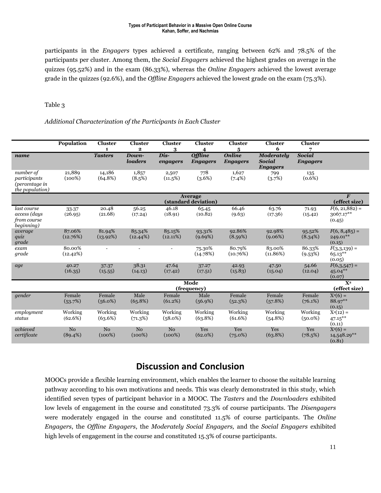participants in the *Engagers* types achieved a certificate, ranging between 62% and 78.5% of the participants per cluster. Among them, the *Social Engagers* achieved the highest grades on average in the quizzes (95.52%) and in the exam (86.33%), whereas the *Online Engagers* achieved the lowest average grade in the quizzes (92.6%), and the *Offline Engagers* achieved the lowest grade on the exam (75.3%).

#### Table 3

*Additional Characterization of the Participants in Each Cluster*

|                                                                | Population          | <b>Cluster</b>              | <b>Cluster</b>        | <b>Cluster</b>              | <b>Cluster</b>                    | <b>Cluster</b>                   | <b>Cluster</b>                                        | <b>Cluster</b>                   |                                                           |  |
|----------------------------------------------------------------|---------------------|-----------------------------|-----------------------|-----------------------------|-----------------------------------|----------------------------------|-------------------------------------------------------|----------------------------------|-----------------------------------------------------------|--|
|                                                                |                     | $\mathbf{1}$                | $\mathbf 2$           | 3                           | 4                                 | 5                                | 6                                                     | 7                                |                                                           |  |
| name                                                           |                     | <b>Tasters</b>              | Down-<br>loaders      | Dis-<br>engagers            | <b>Offline</b><br><b>Engagers</b> | <b>Online</b><br><b>Engagers</b> | <b>Moderatelu</b><br><b>Social</b><br><b>Engagers</b> | <b>Social</b><br><b>Engagers</b> |                                                           |  |
| number of<br>participants<br>(percentage in<br>the population) | 21,889<br>$(100\%)$ | 14,186<br>$(64.8\%)$        | 1,857<br>$(8.5\%)$    | 2,507<br>(11.5%)            | 778<br>(3.6%)                     | 1,627<br>$(7.4\%)$               | 799<br>(3.7%)                                         | 135<br>$(0.6\%)$                 |                                                           |  |
| <b>Average</b><br>(standard deviation)                         |                     |                             |                       |                             |                                   |                                  |                                                       |                                  |                                                           |  |
| last course<br>access (days<br>from course<br>beginning)       | 33.37<br>(26.95)    | 20.48<br>(21.68)            | 56.25<br>(17.24)      | 46.18<br>(18.91)            | 65.45<br>(10.82)                  | 66.46<br>(9.63)                  | 63.76<br>(17.36)                                      | 71.93<br>(15.42)                 | (effect size)<br>$F(6, 21, 882) =$<br>3067.17**<br>(0.45) |  |
| average<br>quiz<br>grade                                       | 87.06%<br>(12.76%)  | 81.94%<br>(13.92%)          | 85.34%<br>$(12.44\%)$ | 85.15%<br>(12.11%)          | 93.31%<br>$(9.69\%)$              | 92.86%<br>(8.59%)                | 92.98%<br>(9.06%)                                     | 95.52%<br>$(8.34\%)$             | $F(6, 8, 485) =$<br>249.01**<br>(0.15)                    |  |
| exam<br>grade                                                  | 80.00%<br>(12.42%)  |                             |                       |                             | 75.30%<br>(14.78%)                | 80.79%<br>(10.76%)               | 83.00%<br>(11.86%)                                    | 86.33%<br>(9.53%)                | $F(3,3,139) =$<br>$65.13***$<br>(0.05)                    |  |
| age                                                            | 40.27<br>(16.35)    | 37.37<br>(15.55)            | 38.31<br>(14.13)      | 47.64<br>(17.42)            | 37.27<br>(17.51)                  | 42.93<br>(15.83)                 | 47.50<br>(15.04)                                      | 54.66<br>(12.04)                 | $F(6,3,547) =$<br>$45.04***$<br>(0.07)                    |  |
| Mode<br>(frequency)                                            |                     |                             |                       |                             |                                   |                                  |                                                       |                                  |                                                           |  |
| gender                                                         | Female<br>(53.7%)   | Female<br>$(56.0\%)$        | Male<br>(65.8%)       | Female<br>(61.2%)           | Male<br>$(56.9\%)$                | Female<br>(52.3%)                | Female<br>(57.8%)                                     | Female<br>$(76.1\%)$             | (effect size)<br>$X^2(6) =$<br>88.97**<br>(0.15)          |  |
| employment<br>status                                           | Working<br>(62.6%)  | Working<br>$(63.6\%)$       | Working<br>(71.3%)    | Working<br>$(58.0\%)$       | Working<br>(63.8%)                | Working<br>(61.6%)               | Working<br>$(54.8\%)$                                 | Working<br>$(50.0\%)$            | $X^2(12) =$<br>$47.15***$<br>(0.11)                       |  |
| achieved<br>certificate                                        | No<br>$(89.4\%)$    | N <sub>0</sub><br>$(100\%)$ | No<br>$(100\%)$       | N <sub>o</sub><br>$(100\%)$ | Yes<br>$(62.0\%)$                 | Yes<br>$(75.0\%)$                | Yes<br>$(63.8\%)$                                     | Yes<br>(78.5%)                   | $X^2(6) =$<br>$14,548.29**$<br>(0.81)                     |  |

# **Discussion and Conclusion**

MOOCs provide a flexible learning environment, which enables the learner to choose the suitable learning pathway according to his own motivations and needs. This was clearly demonstrated in this study, which identified seven types of participant behavior in a MOOC. The *Tasters* and the *Downloaders* exhibited low levels of engagement in the course and constituted 73.3% of course participants. The *Disengagers* were moderately engaged in the course and constituted 11.5% of course participants. The *Online Engagers*, the *Offline Engagers*, the *Moderately Social Engagers,* and the *Social Engagers* exhibited high levels of engagement in the course and constituted 15.3% of course participants.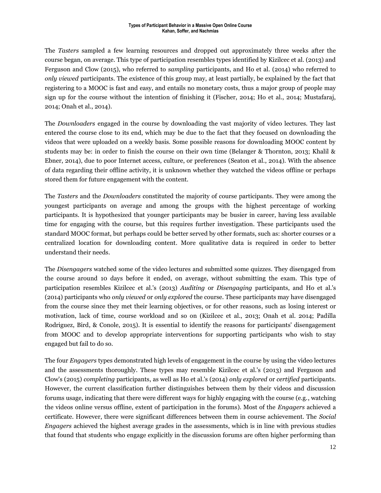#### **Types of Participant Behavior in a Massive Open Online Course Kahan, Soffer, and Nachmias**

The *Tasters* sampled a few learning resources and dropped out approximately three weeks after the course began, on average. This type of participation resembles types identified by Kizilcec et al. (2013) and Ferguson and Clow (2015), who referred to *sampling* participants, and Ho et al. (2014) who referred to *only viewed* participants. The existence of this group may, at least partially, be explained by the fact that registering to a MOOC is fast and easy, and entails no monetary costs, thus a major group of people may sign up for the course without the intention of finishing it (Fischer, 2014; Ho et al., 2014; Mustafaraj, 2014; Onah et al., 2014).

The *Downloaders* engaged in the course by downloading the vast majority of video lectures. They last entered the course close to its end, which may be due to the fact that they focused on downloading the videos that were uploaded on a weekly basis. Some possible reasons for downloading MOOC content by students may be: in order to finish the course on their own time (Belanger & Thornton, 2013; Khalil & Ebner, 2014), due to poor Internet access, culture, or preferences (Seaton et al., 2014). With the absence of data regarding their offline activity, it is unknown whether they watched the videos offline or perhaps stored them for future engagement with the content.

The *Tasters* and the *Downloaders* constituted the majority of course participants. They were among the youngest participants on average and among the groups with the highest percentage of working participants. It is hypothesized that younger participants may be busier in career, having less available time for engaging with the course, but this requires further investigation. These participants used the standard MOOC format, but perhaps could be better served by other formats, such as: shorter courses or a centralized location for downloading content. More qualitative data is required in order to better understand their needs.

The *Disengagers* watched some of the video lectures and submitted some quizzes. They disengaged from the course around 10 days before it ended, on average, without submitting the exam. This type of participation resembles Kizilcec et al.'s (2013) *Auditing* or *Disengaging* participants, and Ho et al.'s (2014) participants who *only viewed* or *only explored* the course. These participants may have disengaged from the course since they met their learning objectives, or for other reasons, such as losing interest or motivation, lack of time, course workload and so on (Kizilcec et al., 2013; Onah et al. 2014; Padilla Rodriguez, Bird, & Conole, 2015). It is essential to identify the reasons for participants' disengagement from MOOC and to develop appropriate interventions for supporting participants who wish to stay engaged but fail to do so.

The four *Engagers* types demonstrated high levels of engagement in the course by using the video lectures and the assessments thoroughly. These types may resemble Kizilcec et al.'s (2013) and Ferguson and Clow's (2015) *completing* participants, as well as Ho et al.'s (2014) *only explored* or *certified* participants. However, the current classification further distinguishes between them by their videos and discussion forums usage, indicating that there were different ways for highly engaging with the course (e.g., watching the videos online versus offline, extent of participation in the forums). Most of the *Engagers* achieved a certificate. However, there were significant differences between them in course achievement. The *Social Engagers* achieved the highest average grades in the assessments, which is in line with previous studies that found that students who engage explicitly in the discussion forums are often higher performing than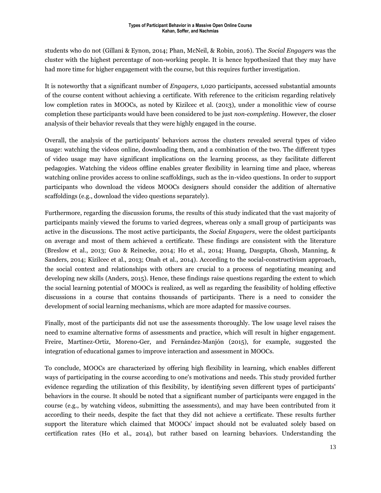students who do not (Gillani & Eynon, 2014; Phan, McNeil, & Robin, 2016). The *Social Engagers* was the cluster with the highest percentage of non-working people. It is hence hypothesized that they may have had more time for higher engagement with the course, but this requires further investigation.

It is noteworthy that a significant number of *Engagers*, 1,020 participants, accessed substantial amounts of the course content without achieving a certificate. With reference to the criticism regarding relatively low completion rates in MOOCs, as noted by Kizilcec et al. (2013), under a monolithic view of course completion these participants would have been considered to be just *non-completing*. However, the closer analysis of their behavior reveals that they were highly engaged in the course.

Overall, the analysis of the participants' behaviors across the clusters revealed several types of video usage: watching the videos online, downloading them, and a combination of the two. The different types of video usage may have significant implications on the learning process, as they facilitate different pedagogies. Watching the videos offline enables greater flexibility in learning time and place, whereas watching online provides access to online scaffoldings, such as the in-video questions. In order to support participants who download the videos MOOCs designers should consider the addition of alternative scaffoldings (e.g., download the video questions separately).

Furthermore, regarding the discussion forums, the results of this study indicated that the vast majority of participants mainly viewed the forums to varied degrees, whereas only a small group of participants was active in the discussions. The most active participants, the *Social Engagers*, were the oldest participants on average and most of them achieved a certificate. These findings are consistent with the literature (Breslow et al., 2013; Guo & Reinecke, 2014; Ho et al., 2014; Huang, Dasgupta, Ghosh, Manning, & Sanders, 2014; Kizilcec et al., 2013; Onah et al., 2014). According to the social-constructivism approach, the social context and relationships with others are crucial to a process of negotiating meaning and developing new skills (Anders, 2015). Hence, these findings raise questions regarding the extent to which the social learning potential of MOOCs is realized, as well as regarding the feasibility of holding effective discussions in a course that contains thousands of participants. There is a need to consider the development of social learning mechanisms, which are more adapted for massive courses.

Finally, most of the participants did not use the assessments thoroughly. The low usage level raises the need to examine alternative forms of assessments and practice, which will result in higher engagement. Freire, Martínez-Ortiz, Moreno-Ger, and Fernández-Manjón (2015), for example, suggested the integration of educational games to improve interaction and assessment in MOOCs.

To conclude, MOOCs are characterized by offering high flexibility in learning, which enables different ways of participating in the course according to one's motivations and needs. This study provided further evidence regarding the utilization of this flexibility, by identifying seven different types of participants' behaviors in the course. It should be noted that a significant number of participants were engaged in the course (e.g., by watching videos, submitting the assessments), and may have been contributed from it according to their needs, despite the fact that they did not achieve a certificate. These results further support the literature which claimed that MOOCs' impact should not be evaluated solely based on certification rates (Ho et al., 2014), but rather based on learning behaviors. Understanding the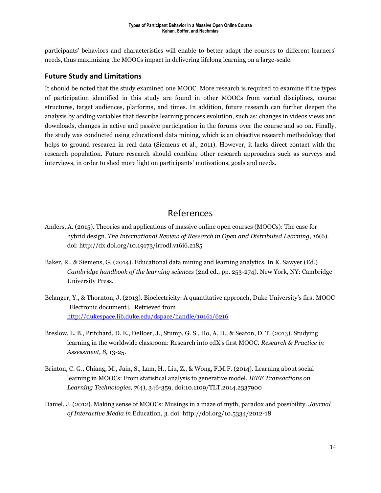participants' behaviors and characteristics will enable to better adapt the courses to different learners' needs, thus maximizing the MOOCs impact in delivering lifelong learning on a large-scale.

#### **Future Study and Limitations**

It should be noted that the study examined one MOOC. More research is required to examine if the types of participation identified in this study are found in other MOOCs from varied disciplines, course structures, target audiences, platforms, and times. In addition, future research can further deepen the analysis by adding variables that describe learning process evolution, such as: changes in videos views and downloads, changes in active and passive participation in the forums over the course and so on. Finally, the study was conducted using educational data mining, which is an objective research methodology that helps to ground research in real data (Siemens et al., 2011). However, it lacks direct contact with the research population. Future research should combine other research approaches such as surveys and interviews, in order to shed more light on participants' motivations, goals and needs.

# References

- Anders, A. (2015). Theories and applications of massive online open courses (MOOCs): The case for hybrid design. *The International Review of Research in Open and Distributed Learning, 16*(6). doi: http://dx.doi.org/10.19173/irrodl.v16i6.2185
- Baker, R., & Siemens, G. (2014). Educational data mining and learning analytics. In K. Sawyer (Ed.) *Cambridge handbook of the learning sciences* (2nd ed., pp. 253-274). New York, NY: Cambridge University Press.
- Belanger, Y., & Thornton, J. (2013). Bioelectricity: A quantitative approach, Duke University's first MOOC [Electronic document]. Retrieved from <http://dukespace.lib.duke.edu/dspace/handle/10161/6216>
- Breslow, L. B., Pritchard, D. E., DeBoer, J., Stump, G. S., Ho, A. D., & Seaton, D. T. (2013). Studying learning in the worldwide classroom: Research into edX's first MOOC. *Research & Practice in Assessment, 8,* 13-25.
- Brinton, C. G., Chiang, M., Jain, S., Lam, H., Liu, Z., & Wong, F.M.F. (2014). Learning about social learning in MOOCs: From statistical analysis to generative model. *IEEE Transactions on Learning Technologies, 7*(4), 346-359. doi[:10.1109/TLT.2014.2337900](http://dx.doi.org/10.1109/TLT.2014.2337900)
- Daniel, J. (2012). Making sense of MOOCs: Musings in a maze of myth, paradox and possibility. *Journal of Interactive Media in* Education, *3*. doi[: http://doi.org/10.5334/2012-18](http://doi.org/10.5334/2012-18)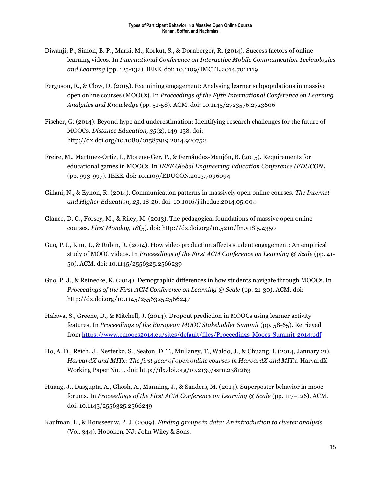- Diwanji, P., Simon, B. P., Marki, M., Korkut, S., & Dornberger, R. (2014). Success factors of online learning videos. In *International Conference on Interactive Mobile Communication Technologies and Learning* (pp. 125-132). IEEE. doi: 10.1109/IMCTL.2014.7011119
- Ferguson, R., & Clow, D. (2015). Examining engagement: Analysing learner subpopulations in massive open online courses (MOOCs). In *Proceedings of the Fifth International Conference on Learning Analytics and Knowledge* (pp. 51-58). ACM. doi: 10.1145/2723576.2723606
- Fischer, G. (2014). Beyond hype and underestimation: Identifying research challenges for the future of MOOCs. *Distance Education, 35*(2), 149-158. doi: http://dx.doi.org/10.1080/01587919.2014.920752
- Freire, M., Martínez-Ortiz, I., Moreno-Ger, P., & Fernández-Manjón, B. (2015). Requirements for educational games in MOOCs. In *IEEE Global Engineering Education Conference (EDUCON)* (pp. 993-997). IEEE. doi: 10.1109/EDUCON.2015.7096094
- Gillani, N., & Eynon, R. (2014). Communication patterns in massively open online courses. *The Internet and Higher Education, 23*, 18-26. doi: 10.1016/j.iheduc.2014.05.004
- Glance, D. G., Forsey, M., & Riley, M. (2013). The pedagogical foundations of massive open online courses. *First Monday, 18*(5). doi: <http://dx.doi.org/10.5210/fm.v18i5.4350>
- Guo, P.J., Kim, J., & Rubin, R. (2014). How video production affects student engagement: An empirical study of MOOC videos. In *Proceedings of the First ACM Conference on Learning @ Scale* (pp. 41- 50). ACM. doi: 10.1145/2556325.2566239
- Guo, P. J., & Reinecke, K. (2014). Demographic differences in how students navigate through MOOCs. In *Proceedings of the First ACM Conference on Learning @ Scale* (pp. 21-30). ACM. doi: http://dx.doi.org/10.1145/2556325.2566247
- Halawa, S., Greene, D., & Mitchell, J. (2014). Dropout prediction in MOOCs using learner activity features. In *Proceedings of the European MOOC Stakeholder Summit* (pp. 58-65). Retrieved from<https://www.emoocs2014.eu/sites/default/files/Proceedings-Moocs-Summit-2014.pdf>
- Ho, A. D., Reich, J., Nesterko, S., Seaton, D. T., Mullaney, T., Waldo, J., & Chuang, I. (2014, January 21). *HarvardX and MITx: The first year of open online courses in HarvardX and MITx*. HarvardX Working Paper No. 1. doi: http://dx.doi.org/10.2139/ssrn.2381263
- Huang, J., Dasgupta, A., Ghosh, A., Manning, J., & Sanders, M. (2014). Superposter behavior in mooc forums. In *Proceedings of the First ACM Conference on Learning @ Scale* (pp. 117-126). ACM. doi: 10.1145/2556325.2566249
- Kaufman, L., & Rousseeuw, P. J. (2009). *Finding groups in data: An introduction to cluster analysis* (Vol. 344). Hoboken, NJ: John Wiley & Sons.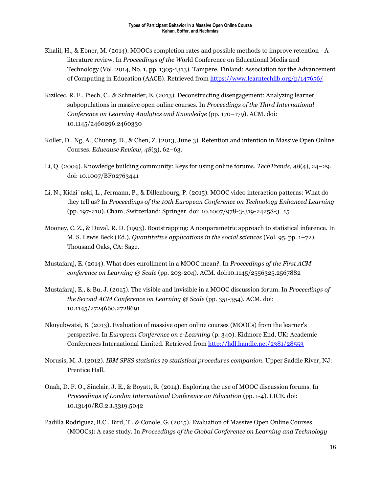- Khalil, H., & Ebner, M. (2014). MOOCs completion rates and possible methods to improve retention A literature review. In *Proceedings of the W*orld Conference on Educational Media and Technology (Vol. 2014, No. 1, pp. 1305-1313). Tampere, Finland: Association for the Advancement of Computing in Education (AACE). Retrieved from<https://www.learntechlib.org/p/147656/>
- Kizilcec, R. F., Piech, C., & Schneider, E. (2013). Deconstructing disengagement: Analyzing learner subpopulations in massive open online courses. In *Proceedings of the Third International Conference on Learning Analytics and Knowledge* (pp. 170–179). ACM. doi: 10.1145/2460296.2460330
- Koller, D., Ng, A., Chuong, D., & Chen, Z. (2013, June 3). Retention and intention in Massive Open Online Courses. *Educause Review*, *48*(3), 62–63.
- Li, Q. (2004). Knowledge building community: Keys for using online forums. *TechTrends, 48*(4), 24–29. doi: 10.1007/BF02763441
- Li, N., Kidzi´nski, L., Jermann, P., & Dillenbourg, P. (2015). MOOC video interaction patterns: What do they tell us? In *Proceedings of the 10th European Conference on Technology Enhanced Learning*  (pp. 197-210)*.* Cham, Switzerland: Springer. doi: 10.1007/978-3-319-24258-3\_15
- Mooney, C. Z., & Duval, R. D. (1993). Bootstrapping: A nonparametric approach to statistical inference. In M. S. Lewis Beck (Ed.), *Quantitative applications in the social sciences* (Vol. 95, pp. 1–72). Thousand Oaks, CA: Sage.
- Mustafaraj, E. (2014). What does enrollment in a MOOC mean?. In *Proceedings of the First ACM conference on Learning @ Scale* (pp. 203-204). ACM. doi:10.1145/2556325.2567882
- Mustafaraj, E., & Bu, J. (2015). The visible and invisible in a MOOC discussion forum. In *Proceedings of the Second ACM Conference on Learning @ Scale* (pp. 351-354). ACM. doi: 10.1145/2724660.2728691
- Nkuyubwatsi, B. (2013). Evaluation of massive open online courses (MOOCs) from the learner's perspective. In *European Conference on e-Learning* (p. 340). Kidmore End, UK: Academic Conferences International Limited. Retrieved from<http://hdl.handle.net/2381/28553>
- Norusis, M. J. (2012). *IBM SPSS statistics 19 statistical procedures companion*. Upper Saddle River, NJ: Prentice Hall.
- Onah, D. F. O., Sinclair, J. E., & Boyatt, R. (2014). Exploring the use of MOOC discussion forums. In *Proceedings of London International Conference on Education* (pp. 1-4). LICE. doi: 10.13140/RG.2.1.3319.5042
- Padilla Rodríguez, B.C., Bird, T., & Conole, G. (2015). Evaluation of Massive Open Online Courses (MOOCs): A case study. In *Proceedings of the Global Conference on Learning and Technology*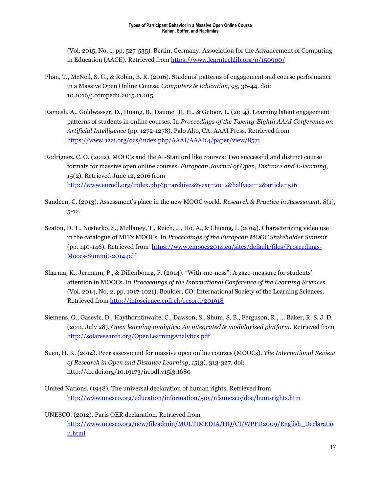(Vol. 2015, No. 1, pp. 527-535)*.* Berlin, Germany: Association for the Advancement of Computing in Education (AACE). Retrieved from<https://www.learntechlib.org/p/150900/>

- Phan, T., McNeil, S. G., & Robin, B. R. (2016). Students' patterns of engagement and course performance in a Massive Open Online Course. *Computers & Education, 95,* 36-44. doi: 10.1016/j.compedu.2015.11.015
- Ramesh, A., Goldwasser, D., Huang, B., Daume III, H., & Getoor, L. (2014). Learning latent engagement patterns of students in online courses. In *Proceedings of the Twenty-Eighth AAAI Conference on Artificial Intelligence* (pp. 1272-1278). Palo Alto, CA: AAAI Press. Retrieved from <https://www.aaai.org/ocs/index.php/AAAI/AAAI14/paper/view/8571>
- Rodriguez, C. O. (2012). MOOCs and the AI-Stanford like courses: Two successful and distinct course formats for massive open online courses. *European Journal of Open, Distance and E-learning, 15*(2)*.* Retrieved June 12, 2016 from <http://www.eurodl.org/index.php?p=archives&year=2012&halfyear=2&article=516>
- Sandeen, C. (2013). Assessment's place in the new MOOC world. *Research & Practice in Assessment, 8*(1), 5-12.
- Seaton, D. T., Nesterko, S., Mullaney, T., Reich, J., Ho, A., & Chuang, I. (2014). Characterizing video use in the catalogue of MITx MOOCs. In *Proceedings of the European MOOC Stakeholder Summit* (pp. 140-146). Retrieved from [https://www.emoocs2014.eu/sites/default/files/Proceedings-](https://www.emoocs2014.eu/sites/default/files/Proceedings-Moocs-Summit-2014.pdf)[Moocs-Summit-2014.pdf](https://www.emoocs2014.eu/sites/default/files/Proceedings-Moocs-Summit-2014.pdf)
- Sharma, K., Jermann, P., & Dillenbourg, P. (2014). "With-me-ness": A gaze-measure for students' attention in MOOCs. In *Proceedings of the International Conference of the Learning Sciences* (Vol. 2014, No. 2, pp. 1017-1021). Boulder, CO: International Society of the Learning Sciences. Retrieved from<http://infoscience.epfl.ch/record/201918>
- Siemens, G., Gasevic, D., Haythornthwaite, C., Dawson, S., Shum, S. B., Ferguson, R., ... Baker, R. S. J. D. (2011, July 28). *Open learning analytics: An integrated & modularized platform.* Retrieved from <http://solaresearch.org/OpenLearningAnalytics.pdf>
- Suen, H. K. (2014). Peer assessment for massive open online courses (MOOCs). *The International Review of Research in Open and Distance Learning, 15*(3), 313-327. doi: http://dx.doi.org/10.19173/irrodl.v15i3.1680
- United Nations. (1948). The universal declaration of human rights. Retrieved from <http://www.unesco.org/education/information/50y/nfsunesco/doc/hum-rights.htm>

### UNESCO. (2012). Paris OER declaration. Retrieved from [http://www.unesco.org/new/fileadmin/MULTIMEDIA/HQ/CI/WPFD2009/English\\_Declaratio](http://www.unesco.org/new/fileadmin/MULTIMEDIA/HQ/CI/WPFD2009/English_Declaration.html) [n.html](http://www.unesco.org/new/fileadmin/MULTIMEDIA/HQ/CI/WPFD2009/English_Declaration.html)